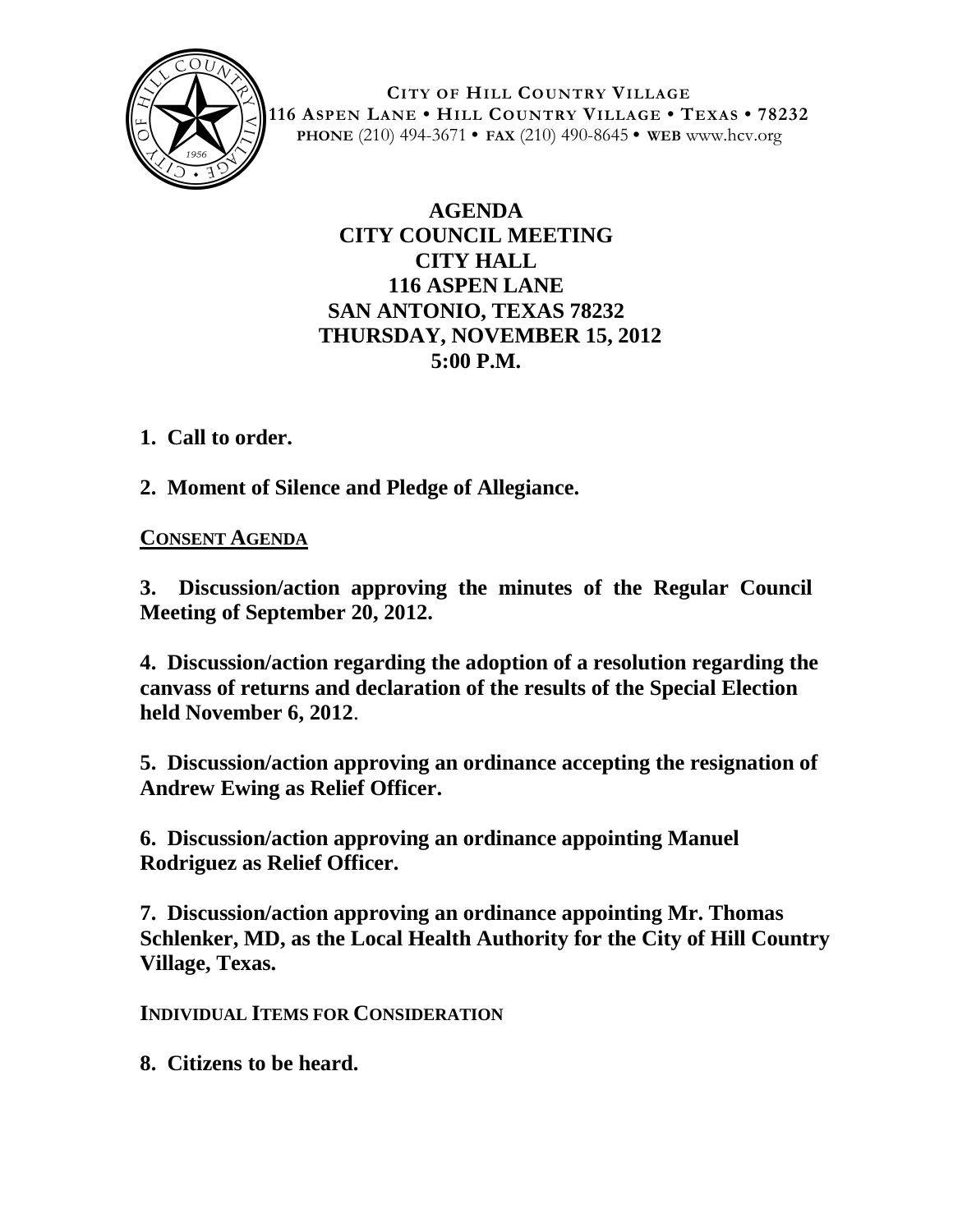

**CITY OF HILL COUNTRY VILLAGE 116 ASPEN LANE • HILL COUNTRY VILLAGE • TEXAS • 78232 PHONE** (210) 494-3671 **• FAX** (210) 490-8645 **• WEB** www.hcv.org

## **AGENDA CITY COUNCIL MEETING CITY HALL 116 ASPEN LANE SAN ANTONIO, TEXAS 78232 THURSDAY, NOVEMBER 15, 2012 5:00 P.M.**

**1. Call to order.**

**2. Moment of Silence and Pledge of Allegiance.**

## **CONSENT AGENDA**

**3. Discussion/action approving the minutes of the Regular Council Meeting of September 20, 2012.**

**4. Discussion/action regarding the adoption of a resolution regarding the canvass of returns and declaration of the results of the Special Election held November 6, 2012**.

**5. Discussion/action approving an ordinance accepting the resignation of Andrew Ewing as Relief Officer.**

**6. Discussion/action approving an ordinance appointing Manuel Rodriguez as Relief Officer.**

**7. Discussion/action approving an ordinance appointing Mr. Thomas Schlenker, MD, as the Local Health Authority for the City of Hill Country Village, Texas.**

**INDIVIDUAL ITEMS FOR CONSIDERATION**

**8. Citizens to be heard.**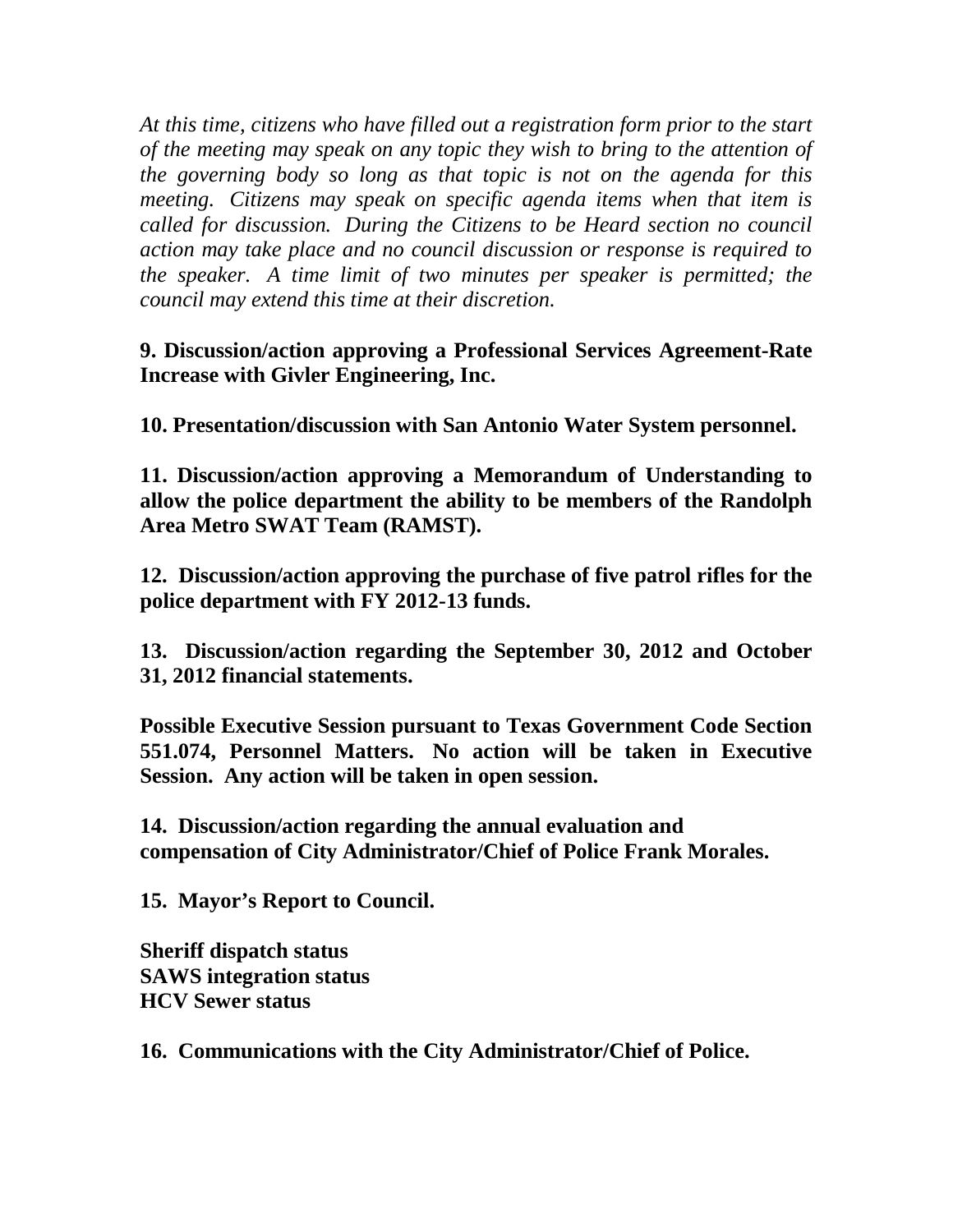*At this time, citizens who have filled out a registration form prior to the start of the meeting may speak on any topic they wish to bring to the attention of the governing body so long as that topic is not on the agenda for this meeting. Citizens may speak on specific agenda items when that item is called for discussion. During the Citizens to be Heard section no council action may take place and no council discussion or response is required to the speaker. A time limit of two minutes per speaker is permitted; the council may extend this time at their discretion.*

**9. Discussion/action approving a Professional Services Agreement-Rate Increase with Givler Engineering, Inc.**

**10. Presentation/discussion with San Antonio Water System personnel.**

**11. Discussion/action approving a Memorandum of Understanding to allow the police department the ability to be members of the Randolph Area Metro SWAT Team (RAMST).**

**12. Discussion/action approving the purchase of five patrol rifles for the police department with FY 2012-13 funds.**

**13. Discussion/action regarding the September 30, 2012 and October 31, 2012 financial statements.**

**Possible Executive Session pursuant to Texas Government Code Section 551.074, Personnel Matters. No action will be taken in Executive Session. Any action will be taken in open session.**

**14. Discussion/action regarding the annual evaluation and compensation of City Administrator/Chief of Police Frank Morales.**

**15. Mayor's Report to Council.**

**Sheriff dispatch status SAWS integration status HCV Sewer status**

**16. Communications with the City Administrator/Chief of Police.**